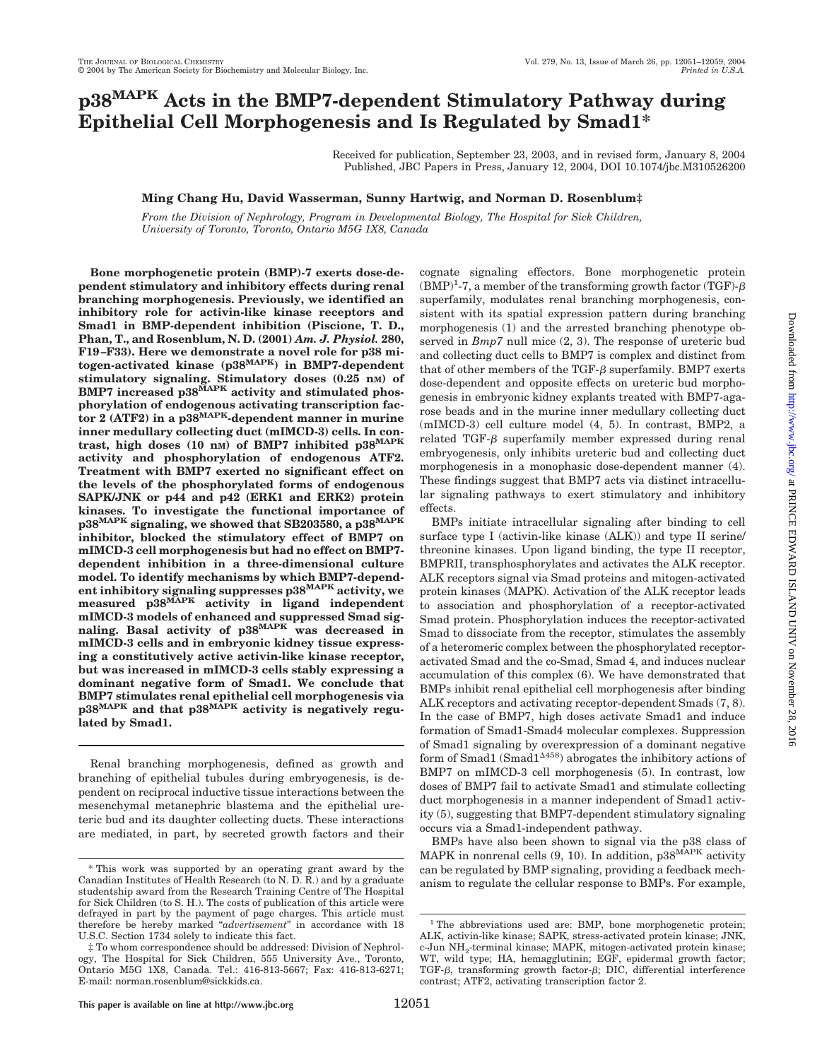# **p38MAPK Acts in the BMP7-dependent Stimulatory Pathway during Epithelial Cell Morphogenesis and Is Regulated by Smad1\***

Received for publication, September 23, 2003, and in revised form, January 8, 2004 Published, JBC Papers in Press, January 12, 2004, DOI 10.1074/jbc.M310526200

### **Ming Chang Hu, David Wasserman, Sunny Hartwig, and Norman D. Rosenblum‡**

*From the Division of Nephrology, Program in Developmental Biology, The Hospital for Sick Children, University of Toronto, Toronto, Ontario M5G 1X8, Canada*

**Bone morphogenetic protein (BMP)-7 exerts dose-dependent stimulatory and inhibitory effects during renal branching morphogenesis. Previously, we identified an inhibitory role for activin-like kinase receptors and Smad1 in BMP-dependent inhibition (Piscione, T. D., Phan, T., and Rosenblum, N. D. (2001)** *Am. J. Physiol.* **280, F19–F33). Here we demonstrate a novel role for p38 mitogen-activated kinase (p38MAPK) in BMP7-dependent stimulatory signaling. Stimulatory doses (0.25 nM) of** BMP7 increased p38<sup>MAPK</sup> activity and stimulated phos**phorylation of endogenous activating transcription factor 2 (ATF2) in a p38MAPK-dependent manner in murine inner medullary collecting duct (mIMCD-3) cells. In contrast, high doses (10 nM) of BMP7 inhibited p38MAPK activity and phosphorylation of endogenous ATF2. Treatment with BMP7 exerted no significant effect on the levels of the phosphorylated forms of endogenous SAPK/JNK or p44 and p42 (ERK1 and ERK2) protein kinases. To investigate the functional importance of p38MAPK signaling, we showed that SB203580, a p38MAPK inhibitor, blocked the stimulatory effect of BMP7 on mIMCD-3 cell morphogenesis but had no effect on BMP7 dependent inhibition in a three-dimensional culture model. To identify mechanisms by which BMP7-dependent inhibitory signaling suppresses p38MAPK activity, we measured p38MAPK activity in ligand independent mIMCD-3 models of enhanced and suppressed Smad signaling. Basal activity of p38MAPK was decreased in mIMCD-3 cells and in embryonic kidney tissue expressing a constitutively active activin-like kinase receptor, but was increased in mIMCD-3 cells stably expressing a dominant negative form of Smad1. We conclude that BMP7 stimulates renal epithelial cell morphogenesis via p38MAPK and that p38MAPK activity is negatively regulated by Smad1.**

Renal branching morphogenesis, defined as growth and branching of epithelial tubules during embryogenesis, is dependent on reciprocal inductive tissue interactions between the mesenchymal metanephric blastema and the epithelial ureteric bud and its daughter collecting ducts. These interactions are mediated, in part, by secreted growth factors and their cognate signaling effectors. Bone morphogenetic protein  $(BMP)^1$ -7, a member of the transforming growth factor (TGF)- $\beta$ superfamily, modulates renal branching morphogenesis, consistent with its spatial expression pattern during branching morphogenesis (1) and the arrested branching phenotype observed in *Bmp7* null mice (2, 3). The response of ureteric bud and collecting duct cells to BMP7 is complex and distinct from that of other members of the TGF- $\beta$  superfamily. BMP7 exerts dose-dependent and opposite effects on ureteric bud morphogenesis in embryonic kidney explants treated with BMP7-agarose beads and in the murine inner medullary collecting duct (mIMCD-3) cell culture model (4, 5). In contrast, BMP2, a related  $TGF- $\beta$  superfamily member expressed during renal$ embryogenesis, only inhibits ureteric bud and collecting duct morphogenesis in a monophasic dose-dependent manner (4). These findings suggest that BMP7 acts via distinct intracellular signaling pathways to exert stimulatory and inhibitory effects.

BMPs initiate intracellular signaling after binding to cell surface type I (activin-like kinase (ALK)) and type II serine/ threonine kinases. Upon ligand binding, the type II receptor, BMPRII, transphosphorylates and activates the ALK receptor. ALK receptors signal via Smad proteins and mitogen-activated protein kinases (MAPK). Activation of the ALK receptor leads to association and phosphorylation of a receptor-activated Smad protein. Phosphorylation induces the receptor-activated Smad to dissociate from the receptor, stimulates the assembly of a heteromeric complex between the phosphorylated receptoractivated Smad and the co-Smad, Smad 4, and induces nuclear accumulation of this complex (6). We have demonstrated that BMPs inhibit renal epithelial cell morphogenesis after binding ALK receptors and activating receptor-dependent Smads (7, 8). In the case of BMP7, high doses activate Smad1 and induce formation of Smad1-Smad4 molecular complexes. Suppression of Smad1 signaling by overexpression of a dominant negative form of Smad1 (Smad1 $4458$ ) abrogates the inhibitory actions of BMP7 on mIMCD-3 cell morphogenesis (5). In contrast, low doses of BMP7 fail to activate Smad1 and stimulate collecting duct morphogenesis in a manner independent of Smad1 activity (5), suggesting that BMP7-dependent stimulatory signaling occurs via a Smad1-independent pathway.

BMPs have also been shown to signal via the p38 class of MAPK in nonrenal cells (9, 10). In addition, p38<sup>MAPK</sup> activity can be regulated by BMP signaling, providing a feedback mechanism to regulate the cellular response to BMPs. For example,

<sup>\*</sup> This work was supported by an operating grant award by the Canadian Institutes of Health Research (to N. D. R.) and by a graduate studentship award from the Research Training Centre of The Hospital for Sick Children (to S. H.). The costs of publication of this article were defrayed in part by the payment of page charges. This article must therefore be hereby marked "*advertisement*" in accordance with 18 U.S.C. Section 1734 solely to indicate this fact.

<sup>‡</sup> To whom correspondence should be addressed: Division of Nephrology, The Hospital for Sick Children, 555 University Ave., Toronto, Ontario M5G 1X8, Canada. Tel.: 416-813-5667; Fax: 416-813-6271; E-mail: norman.rosenblum@sickkids.ca.

<sup>&</sup>lt;sup>1</sup> The abbreviations used are: BMP, bone morphogenetic protein: ALK, activin-like kinase; SAPK, stress-activated protein kinase; JNK, c-Jun NH2-terminal kinase; MAPK, mitogen-activated protein kinase; WT, wild type; HA, hemagglutinin; EGF, epidermal growth factor; TGF- $\beta$ , transforming growth factor- $\beta$ ; DIC, differential interference contrast; ATF2, activating transcription factor 2.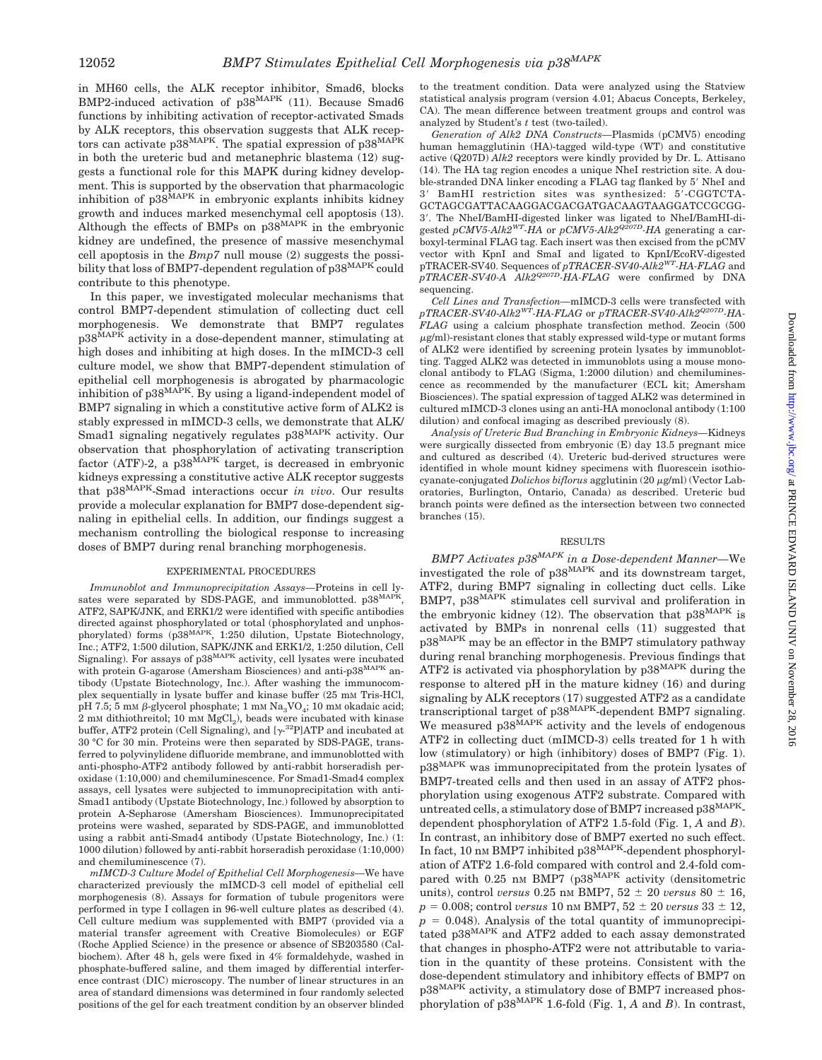in MH60 cells, the ALK receptor inhibitor, Smad6, blocks BMP2-induced activation of p38<sup>MAPK</sup> (11). Because Smad6 functions by inhibiting activation of receptor-activated Smads by ALK receptors, this observation suggests that ALK receptors can activate p38<sup>MAPK</sup>. The spatial expression of p38<sup>MAPK</sup> in both the ureteric bud and metanephric blastema (12) suggests a functional role for this MAPK during kidney development. This is supported by the observation that pharmacologic inhibition of  $p38^{MAPK}$  in embryonic explants inhibits kidney growth and induces marked mesenchymal cell apoptosis (13). Although the effects of BMPs on p38MAPK in the embryonic kidney are undefined, the presence of massive mesenchymal cell apoptosis in the *Bmp7* null mouse (2) suggests the possibility that loss of BMP7-dependent regulation of  $p38^{MAPK}$  could contribute to this phenotype.

In this paper, we investigated molecular mechanisms that control BMP7-dependent stimulation of collecting duct cell morphogenesis. We demonstrate that BMP7 regulates  $p38^{\hat{M}AP\breve{K}}$  activity in a dose-dependent manner, stimulating at high doses and inhibiting at high doses. In the mIMCD-3 cell culture model, we show that BMP7-dependent stimulation of epithelial cell morphogenesis is abrogated by pharmacologic inhibition of p38<sup>MAPK</sup>. By using a ligand-independent model of BMP7 signaling in which a constitutive active form of ALK2 is stably expressed in mIMCD-3 cells, we demonstrate that ALK/ Smad1 signaling negatively regulates  $p38^{MAPK}$  activity. Our observation that phosphorylation of activating transcription factor (ATF)-2, a  $p38^{\text{MAPK}}$  target, is decreased in embryonic kidneys expressing a constitutive active ALK receptor suggests that p38MAPK-Smad interactions occur *in vivo*. Our results provide a molecular explanation for BMP7 dose-dependent signaling in epithelial cells. In addition, our findings suggest a mechanism controlling the biological response to increasing doses of BMP7 during renal branching morphogenesis.

### EXPERIMENTAL PROCEDURES

*Immunoblot and Immunoprecipitation Assays*—Proteins in cell ly-<br>sates were separated by SDS-PAGE, and immunoblotted. p38<sup>MAPK</sup>, ATF2, SAPK/JNK, and ERK1/2 were identified with specific antibodies directed against phosphorylated or total (phosphorylated and unphosphorylated) forms (p38MAPK, 1:250 dilution, Upstate Biotechnology, Inc.; ATF2, 1:500 dilution, SAPK/JNK and ERK1/2, 1:250 dilution, Cell Signaling). For assays of p38<sup>MAPK</sup> activity, cell lysates were incubated with protein G-agarose (Amersham Biosciences) and anti-p38<sup>MAPK</sup> antibody (Upstate Biotechnology, Inc.). After washing the immunocomplex sequentially in lysate buffer and kinase buffer (25 mM Tris-HCl, pH 7.5; 5 mM  $\beta$ -glycerol phosphate; 1 mM Na<sub>2</sub>VO<sub>4</sub>; 10 mM okadaic acid;  $2 \text{ mm}$  dithiothreitol; 10 mm  $MgCl<sub>2</sub>$ ), beads were incubated with kinase buffer, ATF2 protein (Cell Signaling), and  $[\gamma^{32}P]$ ATP and incubated at 30 °C for 30 min. Proteins were then separated by SDS-PAGE, transferred to polyvinylidene difluoride membrane, and immunoblotted with anti-phospho-ATF2 antibody followed by anti-rabbit horseradish peroxidase (1:10,000) and chemiluminescence. For Smad1-Smad4 complex assays, cell lysates were subjected to immunoprecipitation with anti-Smad1 antibody (Upstate Biotechnology, Inc.) followed by absorption to protein A-Sepharose (Amersham Biosciences). Immunoprecipitated proteins were washed, separated by SDS-PAGE, and immunoblotted using a rabbit anti-Smad4 antibody (Upstate Biotechnology, Inc.) (1: 1000 dilution) followed by anti-rabbit horseradish peroxidase (1:10,000) and chemiluminescence (7).

*mIMCD-3 Culture Model of Epithelial Cell Morphogenesis—*We have characterized previously the mIMCD-3 cell model of epithelial cell morphogenesis (8). Assays for formation of tubule progenitors were performed in type I collagen in 96-well culture plates as described (4). Cell culture medium was supplemented with BMP7 (provided via a material transfer agreement with Creative Biomolecules) or EGF (Roche Applied Science) in the presence or absence of SB203580 (Calbiochem). After 48 h, gels were fixed in 4% formaldehyde, washed in phosphate-buffered saline, and them imaged by differential interference contrast (DIC) microscopy. The number of linear structures in an area of standard dimensions was determined in four randomly selected positions of the gel for each treatment condition by an observer blinded

to the treatment condition. Data were analyzed using the Statview statistical analysis program (version 4.01; Abacus Concepts, Berkeley, CA). The mean difference between treatment groups and control was analyzed by Student's *t* test (two-tailed).

*Generation of Alk2 DNA Constructs—*Plasmids (pCMV5) encoding human hemagglutinin (HA)-tagged wild-type (WT) and constitutive active (Q207D) *Alk2* receptors were kindly provided by Dr. L. Attisano (14). The HA tag region encodes a unique NheI restriction site. A double-stranded DNA linker encoding a FLAG tag flanked by 5' NheI and 3' BamHI restriction sites was synthesized: 5'-CGGTCTA-GCTAGCGATTACAAGGACGACGATGACAAGTAAGGATCCGCGG-3'. The NheI/BamHI-digested linker was ligated to NheI/BamHI-digested *pCMV5-Alk2WT-HA* or *pCMV5-Alk2Q207D-HA* generating a carboxyl-terminal FLAG tag. Each insert was then excised from the pCMV vector with KpnI and SmaI and ligated to KpnI/EcoRV-digested pTRACER-SV40. Sequences of *pTRACER-SV40*-*Alk2WT-HA-FLAG* and *pTRACER-SV40-A Alk2Q207D-HA-FLAG* were confirmed by DNA sequencing.

*Cell Lines and Transfection—*mIMCD-3 cells were transfected with *pTRACER-SV40*-*Alk2WT-HA-FLAG* or *pTRACER-SV40-Alk2Q207D-HA-FLAG* using a calcium phosphate transfection method. Zeocin (500  $\mu$ g/ml)-resistant clones that stably expressed wild-type or mutant forms of ALK2 were identified by screening protein lysates by immunoblotting. Tagged ALK2 was detected in immunoblots using a mouse monoclonal antibody to FLAG (Sigma, 1:2000 dilution) and chemiluminescence as recommended by the manufacturer (ECL kit; Amersham Biosciences). The spatial expression of tagged ALK2 was determined in cultured mIMCD-3 clones using an anti-HA monoclonal antibody (1:100 dilution) and confocal imaging as described previously (8).

*Analysis of Ureteric Bud Branching in Embryonic Kidneys—*Kidneys were surgically dissected from embryonic (E) day 13.5 pregnant mice and cultured as described (4). Ureteric bud-derived structures were identified in whole mount kidney specimens with fluorescein isothiocyanate-conjugated *Dolichos biflorus* agglutinin (20 µg/ml) (Vector Laboratories, Burlington, Ontario, Canada) as described. Ureteric bud branch points were defined as the intersection between two connected branches (15).

### RESULTS

*BMP7 Activates p38MAPK in a Dose-dependent Manner—*We investigated the role of p38MAPK and its downstream target, ATF2, during BMP7 signaling in collecting duct cells. Like BMP7, p38<sup>MAPK</sup> stimulates cell survival and proliferation in the embryonic kidney (12). The observation that  $p38^{MAPK}$  is activated by BMPs in nonrenal cells (11) suggested that p38MAPK may be an effector in the BMP7 stimulatory pathway during renal branching morphogenesis. Previous findings that ATF2 is activated via phosphorylation by p38MAPK during the response to altered pH in the mature kidney (16) and during signaling by ALK receptors (17) suggested ATF2 as a candidate transcriptional target of p38MAPK-dependent BMP7 signaling. We measured p38<sup>MAPK</sup> activity and the levels of endogenous ATF2 in collecting duct (mIMCD-3) cells treated for 1 h with low (stimulatory) or high (inhibitory) doses of BMP7 (Fig. 1). p38MAPK was immunoprecipitated from the protein lysates of BMP7-treated cells and then used in an assay of ATF2 phosphorylation using exogenous ATF2 substrate. Compared with untreated cells, a stimulatory dose of BMP7 increased p38<sup>MAPK</sup>dependent phosphorylation of ATF2 1.5-fold (Fig. 1, *A* and *B*). In contrast, an inhibitory dose of BMP7 exerted no such effect. In fact, 10 nm BMP7 inhibited  $p38^{MAPK}$ -dependent phosphorylation of ATF2 1.6-fold compared with control and 2.4-fold compared with  $0.25$  nM BMP7 (p38<sup>MAPK</sup> activity (densitometric units), control *versus* 0.25 nm BMP7,  $52 \pm 20$  *versus* 80  $\pm$  16,  $p = 0.008$ ; control *versus* 10 nm BMP7,  $52 \pm 20$  *versus*  $33 \pm 12$ ,  $p = 0.048$ ). Analysis of the total quantity of immunoprecipitated p38MAPK and ATF2 added to each assay demonstrated that changes in phospho-ATF2 were not attributable to variation in the quantity of these proteins. Consistent with the dose-dependent stimulatory and inhibitory effects of BMP7 on p38MAPK activity, a stimulatory dose of BMP7 increased phosphorylation of p38MAPK 1.6-fold (Fig. 1, *A* and *B*). In contrast,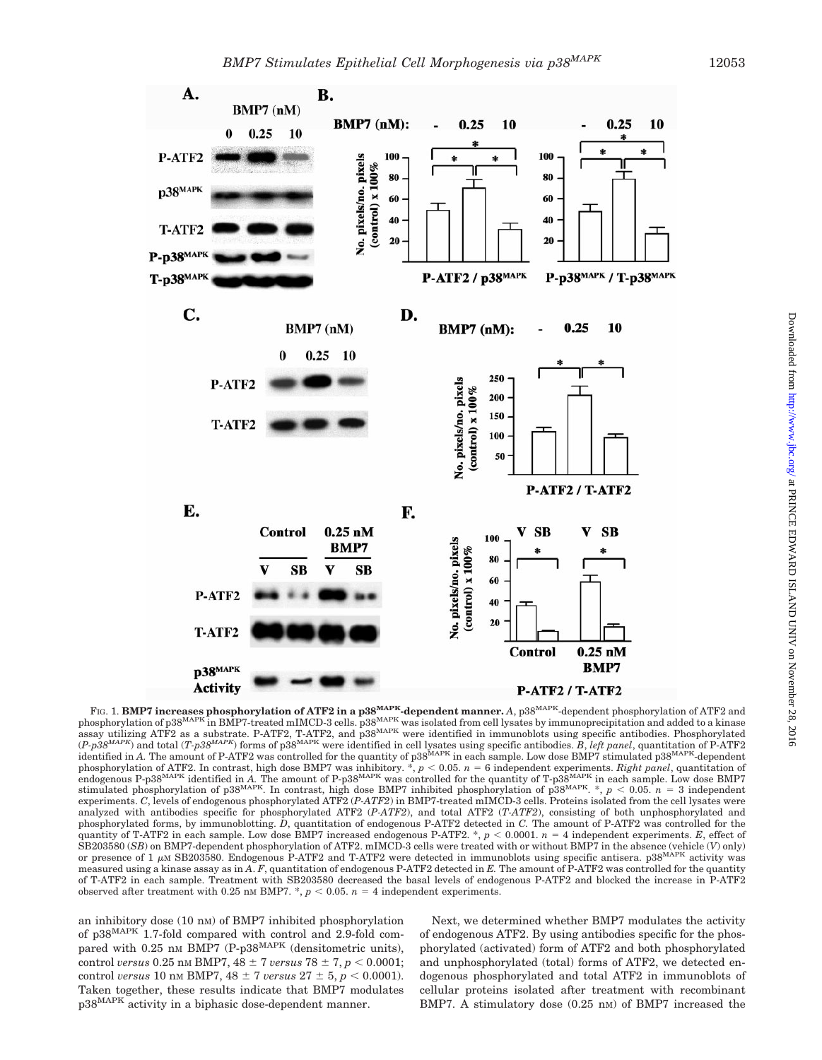

Downloaded from http://www.jbc.org/ at PRINCE EDWARD ISLAND UNIV on November 28, 2016 Downloaded from <http://www.jbc.org/> at PRINCE EDWARD ISLAND UNIV on November 28, 2016

FIG. 1. **BMP7 increases phosphorylation of ATF2 in a p38MAPK-dependent manner.** *A*, p38MAPK-dependent phosphorylation of ATF2 and phosphorylation of p38<sup>MAPK</sup> in BMP7-treated mIMCD-3 cells. p38<sup>MAPK</sup> was isolated from cell lysates by immunoprecipitation and added to a kinase assay utilizing ATF2 as a substrate. P-ATF2, T-ATF2, and p38<sup>MAPK</sup> were identified in immunoblots using specific antibodies. Phosphorylated (*P-p38MAPK*) and total (*T-p38MAPK*) forms of p38MAPK were identified in cell lysates using specific antibodies. *B*, *left panel*, quantitation of P-ATF2 identified in *A*. The amount of P-ATF2 was controlled for the quantity of p38<sup>MAPK</sup> in each sample. Low dose BMP7 stimulated p38<sup>MAPK</sup>-dependent phosphorylation of ATF2. In contrast, high dose BMP7 was inhibitory. \*,  $p < 0.05$ .  $n = 6$  independent experiments. *Right panel*, quantitation of<br>endogenous P-p38<sup>MAPK</sup> identified in A. The amount of P-p38<sup>MAPK</sup> was contro stimulated phosphorylation of p38<sup>MAPK</sup>. In contrast, high dose BMP7 inhibited phosphorylation of p38<sup>MAPK</sup>. \*,  $p < 0.05$ ,  $n = 3$  independent experiments. *C*, levels of endogenous phosphorylated ATF2 (*P-ATF2*) in BMP7-treated mIMCD-3 cells. Proteins isolated from the cell lysates were analyzed with antibodies specific for phosphorylated ATF2 (*P-ATF2*), and total ATF2 (*T-ATF2*), consisting of both unphosphorylated and phosphorylated forms, by immunoblotting. *D*, quantitation of endogenous P-ATF2 detected in *C.* The amount of P-ATF2 was controlled for the quantity of T-ATF2 in each sample. Low dose BMP7 increased endogenous P-ATF2. \*,  $p < 0.0001$ .  $n = 4$  independent experiments. *E*, effect of SB203580 (*SB*) on BMP7-dependent phosphorylation of ATF2. mIMCD-3 cells were treated with or without BMP7 in the absence (vehicle (*V*) only) or presence of  $1 \mu$ M SB203580. Endogenous P-ATF2 and T-ATF2 were detected in immunoblots using specific antisera.  $p38^{MAPK}$  activity was measured using a kinase assay as in *A*. *F*, quantitation of endogenous P-ATF2 detected in *E.* The amount of P-ATF2 was controlled for the quantity of T-ATF2 in each sample. Treatment with SB203580 decreased the basal levels of endogenous P-ATF2 and blocked the increase in P-ATF2 observed after treatment with 0.25 nm BMP7.  $\overline{\cdot}$ ,  $p < 0.05$ .  $n = 4$  independent experiments.

an inhibitory dose (10 nM) of BMP7 inhibited phosphorylation of p38MAPK 1.7-fold compared with control and 2.9-fold compared with 0.25 nm BMP7 (P-p38<sup>MAPK</sup> (densitometric units), control *versus* 0.25 nm BMP7,  $48 \pm 7$  *versus*  $78 \pm 7$ ,  $p < 0.0001$ ; control *versus* 10 nm BMP7,  $48 \pm 7$  *versus*  $27 \pm 5$ ,  $p < 0.0001$ . Taken together, these results indicate that BMP7 modulates p38MAPK activity in a biphasic dose-dependent manner.

Next, we determined whether BMP7 modulates the activity of endogenous ATF2. By using antibodies specific for the phosphorylated (activated) form of ATF2 and both phosphorylated and unphosphorylated (total) forms of ATF2, we detected endogenous phosphorylated and total ATF2 in immunoblots of cellular proteins isolated after treatment with recombinant BMP7. A stimulatory dose  $(0.25 \text{ nm})$  of BMP7 increased the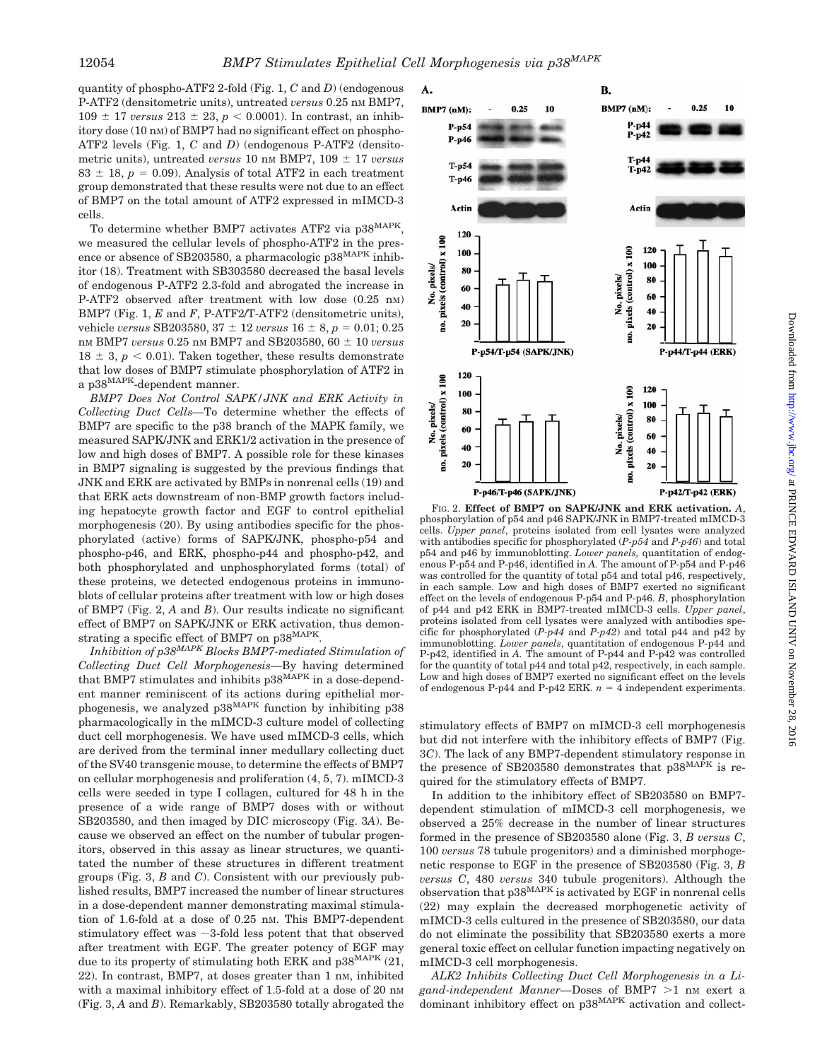quantity of phospho-ATF2 2-fold (Fig. 1, *C* and *D*) (endogenous P-ATF2 (densitometric units), untreated *versus* 0.25 nm BMP7,  $109 \pm 17$  *versus*  $213 \pm 23$ ,  $p < 0.0001$ ). In contrast, an inhibitory dose (10 nM) of BMP7 had no significant effect on phospho-ATF2 levels (Fig. 1, *C* and *D*) (endogenous P-ATF2 (densitometric units), untreated *versus* 10 nm BMP7, 109  $\pm$  17 *versus*  $83 \pm 18$ ,  $p = 0.09$ ). Analysis of total ATF2 in each treatment group demonstrated that these results were not due to an effect of BMP7 on the total amount of ATF2 expressed in mIMCD-3 cells.

To determine whether BMP7 activates ATF2 via p38<sup>MAPK</sup>, we measured the cellular levels of phospho-ATF2 in the presence or absence of SB203580, a pharmacologic  $p38^{MAPK}$  inhibitor (18). Treatment with SB303580 decreased the basal levels of endogenous P-ATF2 2.3-fold and abrogated the increase in P-ATF2 observed after treatment with low dose  $(0.25 \text{ nm})$ BMP7 (Fig. 1, *E* and *F*, P-ATF2/T-ATF2 (densitometric units), vehicle *versus* SB203580,  $37 \pm 12$  *versus*  $16 \pm 8$ ,  $p = 0.01$ ; 0.25 nM BMP7 *versus* 0.25 nM BMP7 and SB203580, 60 10 *versus*  $18 \pm 3$ ,  $p < 0.01$ ). Taken together, these results demonstrate that low doses of BMP7 stimulate phosphorylation of ATF2 in a p $38^{\mathrm{MAPK}}$  dependent manner.

*BMP7 Does Not Control SAPK/JNK and ERK Activity in Collecting Duct Cells—*To determine whether the effects of BMP7 are specific to the p38 branch of the MAPK family, we measured SAPK/JNK and ERK1/2 activation in the presence of low and high doses of BMP7. A possible role for these kinases in BMP7 signaling is suggested by the previous findings that JNK and ERK are activated by BMPs in nonrenal cells (19) and that ERK acts downstream of non-BMP growth factors including hepatocyte growth factor and EGF to control epithelial morphogenesis (20). By using antibodies specific for the phosphorylated (active) forms of SAPK/JNK, phospho-p54 and phospho-p46, and ERK, phospho-p44 and phospho-p42, and both phosphorylated and unphosphorylated forms (total) of these proteins, we detected endogenous proteins in immunoblots of cellular proteins after treatment with low or high doses of BMP7 (Fig. 2, *A* and *B*). Our results indicate no significant effect of BMP7 on SAPK/JNK or ERK activation, thus demonstrating a specific effect of BMP7 on p38MAPK.

*Inhibition of p38MAPK Blocks BMP7-mediated Stimulation of Collecting Duct Cell Morphogenesis—*By having determined that BMP7 stimulates and inhibits p38MAPK in a dose-dependent manner reminiscent of its actions during epithelial morphogenesis, we analyzed p38MAPK function by inhibiting p38 pharmacologically in the mIMCD-3 culture model of collecting duct cell morphogenesis. We have used mIMCD-3 cells, which are derived from the terminal inner medullary collecting duct of the SV40 transgenic mouse, to determine the effects of BMP7 on cellular morphogenesis and proliferation (4, 5, 7). mIMCD-3 cells were seeded in type I collagen, cultured for 48 h in the presence of a wide range of BMP7 doses with or without SB203580, and then imaged by DIC microscopy (Fig. 3*A*). Because we observed an effect on the number of tubular progenitors, observed in this assay as linear structures, we quantitated the number of these structures in different treatment groups (Fig. 3, *B* and *C*). Consistent with our previously published results, BMP7 increased the number of linear structures in a dose-dependent manner demonstrating maximal stimulation of 1.6-fold at a dose of 0.25 nM. This BMP7-dependent stimulatory effect was  $\sim$ 3-fold less potent that that observed after treatment with EGF. The greater potency of EGF may due to its property of stimulating both ERK and  $p38^{MAPK}$  (21, 22). In contrast, BMP7, at doses greater than 1 nM, inhibited with a maximal inhibitory effect of 1.5-fold at a dose of 20 nm (Fig. 3, *A* and *B*). Remarkably, SB203580 totally abrogated the



FIG. 2. **Effect of BMP7 on SAPK/JNK and ERK activation.** *A*, phosphorylation of p54 and p46 SAPK/JNK in BMP7-treated mIMCD-3 cells. *Upper panel*, proteins isolated from cell lysates were analyzed with antibodies specific for phosphorylated (*P-p54* and *P-p46*) and total p54 and p46 by immunoblotting. *Lower panels,* quantitation of endogenous P-p54 and P-p46, identified in *A.* The amount of P-p54 and P-p46 was controlled for the quantity of total p54 and total p46, respectively, in each sample. Low and high doses of BMP7 exerted no significant effect on the levels of endogenous P-p54 and P-p46. *B*, phosphorylation of p44 and p42 ERK in BMP7-treated mIMCD-3 cells. *Upper panel*, proteins isolated from cell lysates were analyzed with antibodies specific for phosphorylated (*P-p44* and *P-p42*) and total p44 and p42 by immunoblotting. *Lower panels*, quantitation of endogenous P-p44 and P-p42, identified in *A.* The amount of P-p44 and P-p42 was controlled for the quantity of total p44 and total p42, respectively, in each sample. Low and high doses of BMP7 exerted no significant effect on the levels of endogenous P-p44 and P-p42 ERK.  $n = 4$  independent experiments.

stimulatory effects of BMP7 on mIMCD-3 cell morphogenesis but did not interfere with the inhibitory effects of BMP7 (Fig. 3*C*). The lack of any BMP7-dependent stimulatory response in the presence of SB203580 demonstrates that  $p38^{MA\hat{P}K}$  is required for the stimulatory effects of BMP7.

In addition to the inhibitory effect of SB203580 on BMP7 dependent stimulation of mIMCD-3 cell morphogenesis, we observed a 25% decrease in the number of linear structures formed in the presence of SB203580 alone (Fig. 3, *B versus C*, 100 *versus* 78 tubule progenitors) and a diminished morphogenetic response to EGF in the presence of SB203580 (Fig. 3, *B versus C*, 480 *versus* 340 tubule progenitors). Although the observation that p38MAPK is activated by EGF in nonrenal cells (22) may explain the decreased morphogenetic activity of mIMCD-3 cells cultured in the presence of SB203580, our data do not eliminate the possibility that SB203580 exerts a more general toxic effect on cellular function impacting negatively on mIMCD-3 cell morphogenesis.

*ALK2 Inhibits Collecting Duct Cell Morphogenesis in a Li*gand-independent Manner-Doses of BMP7 >1 nM exert a dominant inhibitory effect on p38MAPK activation and collect-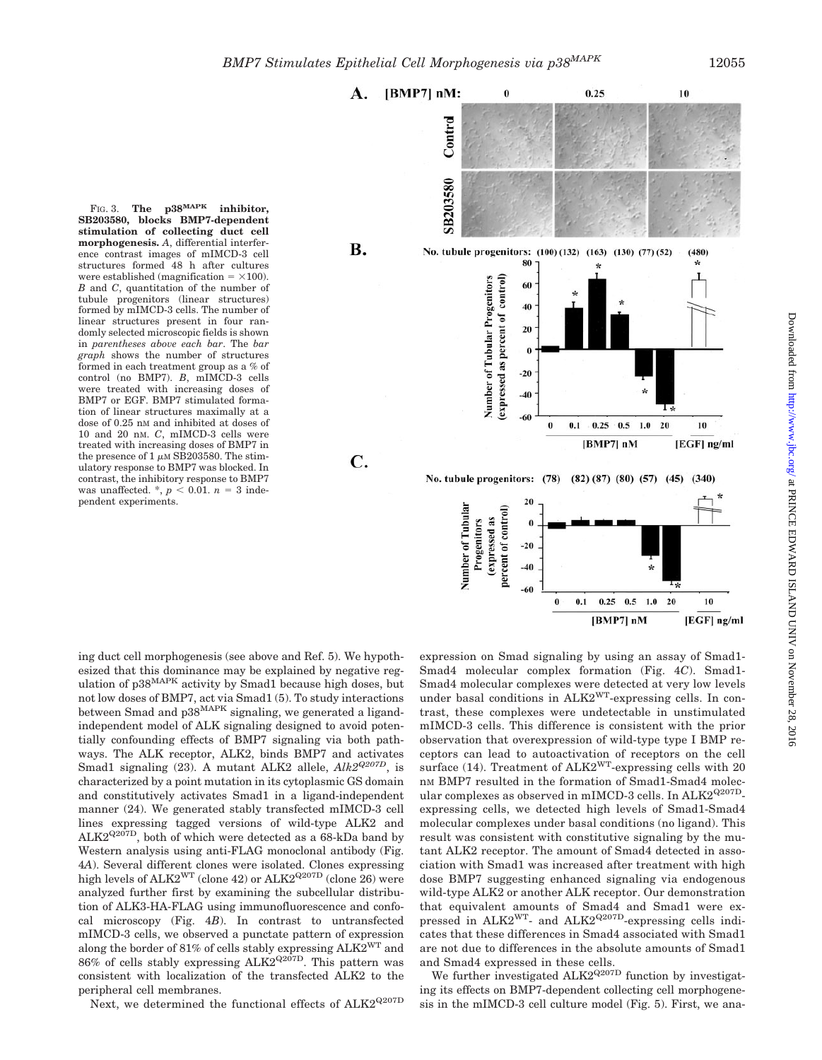

FIG. 3. **The p38MAPK inhibitor, SB203580, blocks BMP7-dependent stimulation of collecting duct cell morphogenesis.** *A*, differential interference contrast images of mIMCD-3 cell structures formed 48 h after cultures were established (magnification  $= \times 100$ ). *B* and *C*, quantitation of the number of tubule progenitors (linear structures) formed by mIMCD-3 cells. The number of linear structures present in four randomly selected microscopic fields is shown in *parentheses above each bar*. The *bar graph* shows the number of structures formed in each treatment group as a % of control (no BMP7). *B*, mIMCD-3 cells were treated with increasing doses of BMP7 or EGF. BMP7 stimulated formation of linear structures maximally at a dose of 0.25 nM and inhibited at doses of 10 and 20 nM. *C*, mIMCD-3 cells were treated with increasing doses of BMP7 in the presence of  $1 \mu M$  SB203580. The stimulatory response to BMP7 was blocked. In contrast, the inhibitory response to BMP7 was unaffected.  $\frac{k}{p}$  < 0.01.  $n = 3$  independent experiments.

ing duct cell morphogenesis (see above and Ref. 5). We hypothesized that this dominance may be explained by negative regulation of p38<sup>MAPK</sup> activity by Smad1 because high doses, but not low doses of BMP7, act via Smad1 (5). To study interactions between Smad and p38MAPK signaling, we generated a ligandindependent model of ALK signaling designed to avoid potentially confounding effects of BMP7 signaling via both pathways. The ALK receptor, ALK2, binds BMP7 and activates Smad1 signaling (23). A mutant ALK2 allele, *Alk2Q207D*, is characterized by a point mutation in its cytoplasmic GS domain and constitutively activates Smad1 in a ligand-independent manner (24). We generated stably transfected mIMCD-3 cell lines expressing tagged versions of wild-type ALK2 and  $ALK2^{Q207D}$ , both of which were detected as a 68-kDa band by Western analysis using anti-FLAG monoclonal antibody (Fig. 4*A*). Several different clones were isolated. Clones expressing high levels of  $ALK2^{WT}$  (clone 42) or  $ALK2^{Q207D}$  (clone 26) were analyzed further first by examining the subcellular distribution of ALK3-HA-FLAG using immunofluorescence and confocal microscopy (Fig. 4*B*). In contrast to untransfected mIMCD-3 cells, we observed a punctate pattern of expression along the border of 81% of cells stably expressing  $ALK2<sup>WT</sup>$  and  $86\%$  of cells stably expressing ALK2<sup>Q207D</sup>. This pattern was consistent with localization of the transfected ALK2 to the peripheral cell membranes.

Next, we determined the functional effects of  $ALK2^{Q207D}$ 

expression on Smad signaling by using an assay of Smad1- Smad4 molecular complex formation (Fig. 4*C*). Smad1- Smad4 molecular complexes were detected at very low levels under basal conditions in ALK2WT-expressing cells. In contrast, these complexes were undetectable in unstimulated mIMCD-3 cells. This difference is consistent with the prior observation that overexpression of wild-type type I BMP receptors can lead to autoactivation of receptors on the cell surface (14). Treatment of ALK2<sup>WT</sup>-expressing cells with 20 nM BMP7 resulted in the formation of Smad1-Smad4 molecular complexes as observed in mIMCD-3 cells. In ALK2<sup>Q207D</sup>expressing cells, we detected high levels of Smad1-Smad4 molecular complexes under basal conditions (no ligand). This result was consistent with constitutive signaling by the mutant ALK2 receptor. The amount of Smad4 detected in association with Smad1 was increased after treatment with high dose BMP7 suggesting enhanced signaling via endogenous wild-type ALK2 or another ALK receptor. Our demonstration that equivalent amounts of Smad4 and Smad1 were expressed in ALK2<sup>WT</sup>- and ALK2<sup>Q207D</sup>-expressing cells indicates that these differences in Smad4 associated with Smad1 are not due to differences in the absolute amounts of Smad1 and Smad4 expressed in these cells.

We further investigated  $ALK2^{Q207D}$  function by investigating its effects on BMP7-dependent collecting cell morphogenesis in the mIMCD-3 cell culture model (Fig. 5). First, we ana-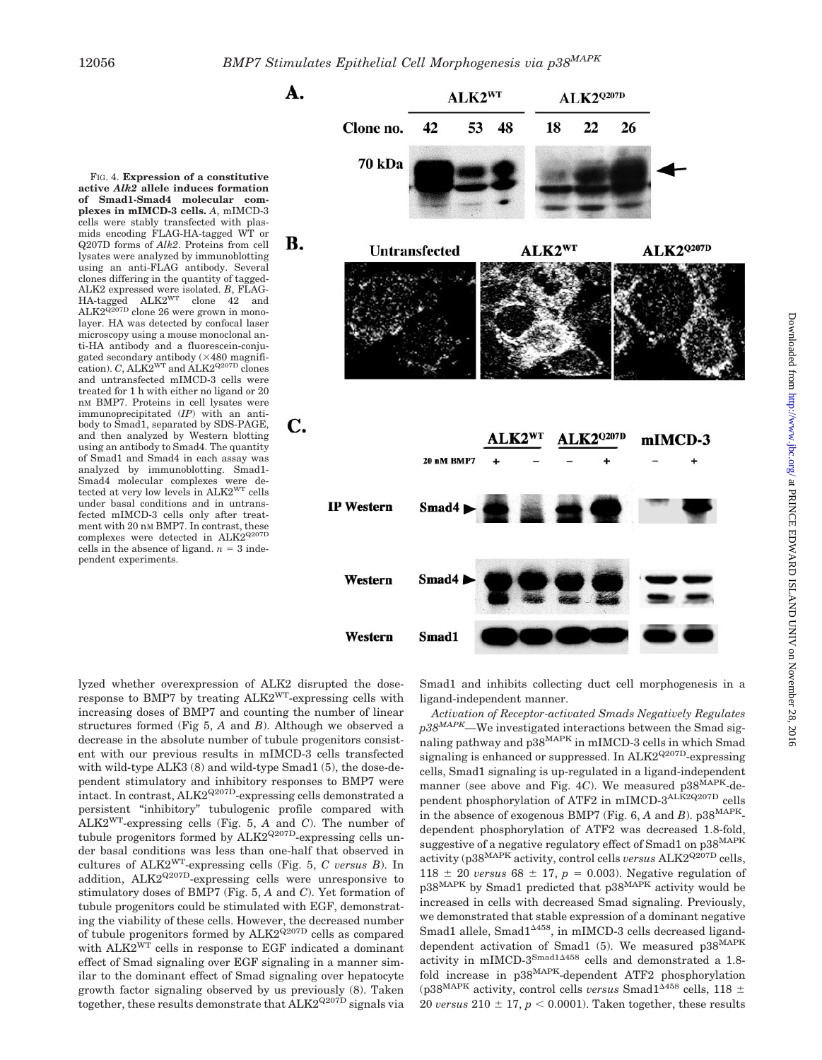



lyzed whether overexpression of ALK2 disrupted the doseresponse to BMP7 by treating ALK2WT-expressing cells with increasing doses of BMP7 and counting the number of linear structures formed (Fig 5, *A* and *B*). Although we observed a decrease in the absolute number of tubule progenitors consistent with our previous results in mIMCD-3 cells transfected with wild-type ALK3 (8) and wild-type Smad1 (5), the dose-dependent stimulatory and inhibitory responses to BMP7 were intact. In contrast, ALK2<sup>Q207D</sup>-expressing cells demonstrated a persistent "inhibitory" tubulogenic profile compared with ALK2WT-expressing cells (Fig. 5, *A* and *C*). The number of tubule progenitors formed by ALK2<sup>Q207D</sup>-expressing cells under basal conditions was less than one-half that observed in cultures of ALK2WT-expressing cells (Fig. 5, *C versus B*). In addition, ALK2Q207D-expressing cells were unresponsive to stimulatory doses of BMP7 (Fig. 5, *A* and *C*). Yet formation of tubule progenitors could be stimulated with EGF, demonstrating the viability of these cells. However, the decreased number of tubule progenitors formed by  $ALK2^{Q207D}$  cells as compared with ALK2<sup>WT</sup> cells in response to EGF indicated a dominant effect of Smad signaling over EGF signaling in a manner similar to the dominant effect of Smad signaling over hepatocyte growth factor signaling observed by us previously (8). Taken together, these results demonstrate that  $ALK2^{Q207D}$  signals via

Smad1 and inhibits collecting duct cell morphogenesis in a ligand-independent manner.

*Activation of Receptor-activated Smads Negatively Regulates p38MAPK—*We investigated interactions between the Smad signaling pathway and p38<sup>MAPK</sup> in mIMCD-3 cells in which Smad signaling is enhanced or suppressed. In  $ALK2^{Q207D}$ -expressing cells, Smad1 signaling is up-regulated in a ligand-independent manner (see above and Fig. 4*C*). We measured p38MAPK-dependent phosphorylation of ATF2 in mIMCD-3ALK2Q207D cells in the absence of exogenous BMP7 (Fig. 6,  $A$  and  $B$ ).  $p38^{MAPK}$ dependent phosphorylation of ATF2 was decreased 1.8-fold, suggestive of a negative regulatory effect of Smad1 on p38<sup>MAPK</sup> activity (p38<sup>MAPK</sup> activity, control cells *versus* ALK2<sup>Q207D</sup> cells, 118  $\pm$  20 *versus* 68  $\pm$  17,  $p = 0.003$ ). Negative regulation of p38MAPK by Smad1 predicted that p38MAPK activity would be increased in cells with decreased Smad signaling. Previously, we demonstrated that stable expression of a dominant negative Smad1 allele, Smad1<sup>4458</sup>, in mIMCD-3 cells decreased liganddependent activation of Smad1 (5). We measured p38MAPK activity in mIMCD-3Smad1<sup>458</sup> cells and demonstrated a 1.8 fold increase in p38MAPK-dependent ATF2 phosphorylation (p38<sup>MAPK</sup> activity, control cells *versus* Smad $1^{\Delta 458}$  cells, 118  $\pm$ 20 *versus*  $210 \pm 17$ ,  $p < 0.0001$ ). Taken together, these results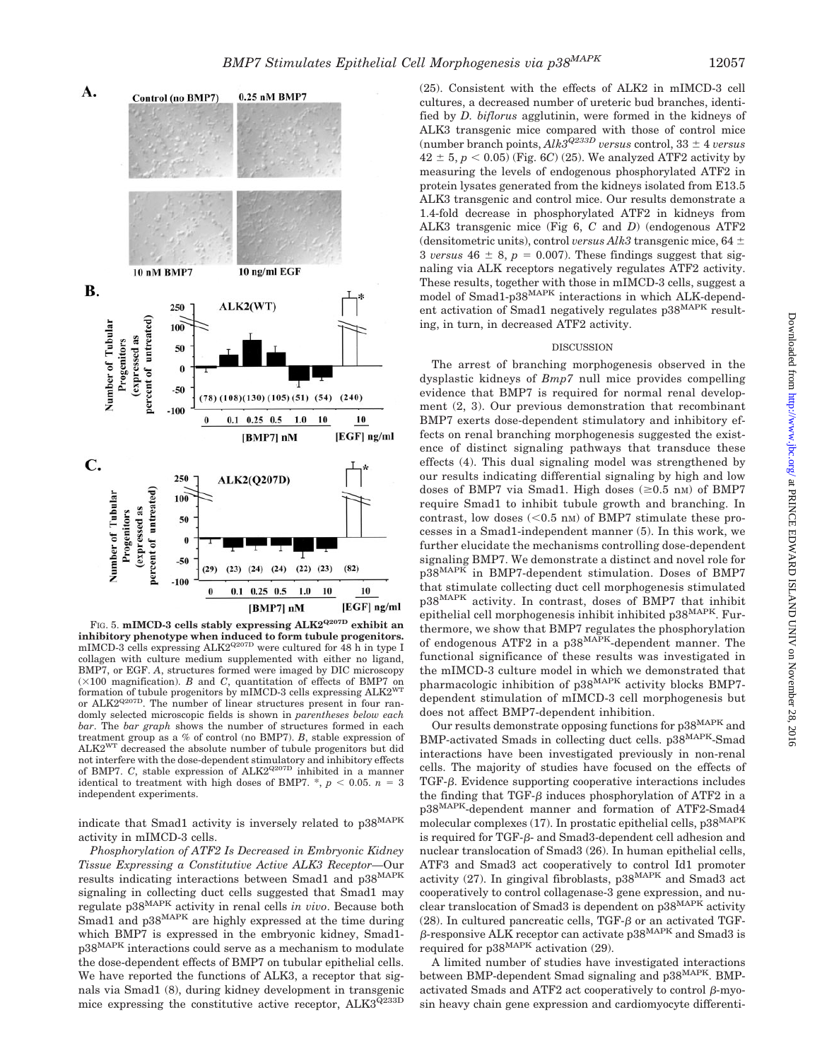



FIG. 5. **mIMCD-3 cells stably expressing ALK2Q207D exhibit an inhibitory phenotype when induced to form tubule progenitors.** mIMCD-3 cells expressing  $ALK2^{Q207D}$  were cultured for 48 h in type I collagen with culture medium supplemented with either no ligand, BMP7, or EGF. *A*, structures formed were imaged by DIC microscopy  $(\times 100$  magnification). *B* and *C*, quantitation of effects of BMP7 on formation of tubule progenitors by mIMCD-3 cells expressing ALK2WT or ALK2Q207D. The number of linear structures present in four randomly selected microscopic fields is shown in *parentheses below each bar*. The *bar graph* shows the number of structures formed in each treatment group as a % of control (no BMP7). *B*, stable expression of ALK2WT decreased the absolute number of tubule progenitors but did not interfere with the dose-dependent stimulatory and inhibitory effects of BMP7. *C*, stable expression of ALK2<sup>Q207D</sup> inhibited in a manner identical to treatment with high doses of BMP7.  $^*$ ,  $p < 0.05$ .  $n = 3$ independent experiments.

indicate that Smad1 activity is inversely related to p38MAPK activity in mIMCD-3 cells.

*Phosphorylation of ATF2 Is Decreased in Embryonic Kidney Tissue Expressing a Constitutive Active ALK3 Receptor—*Our results indicating interactions between Smad1 and p38MAPK signaling in collecting duct cells suggested that Smad1 may regulate p38MAPK activity in renal cells *in vivo*. Because both Smad1 and p38<sup>MAPK</sup> are highly expressed at the time during which BMP7 is expressed in the embryonic kidney, Smad1 p38MAPK interactions could serve as a mechanism to modulate the dose-dependent effects of BMP7 on tubular epithelial cells. We have reported the functions of ALK3, a receptor that signals via Smad1 (8), during kidney development in transgenic mice expressing the constitutive active receptor, ALK3Q233D

(25). Consistent with the effects of ALK2 in mIMCD-3 cell cultures, a decreased number of ureteric bud branches, identified by *D. biflorus* agglutinin, were formed in the kidneys of ALK3 transgenic mice compared with those of control mice (number branch points,  $Alk3^{Q233D}$  *versus* control, 33  $\pm$  4 *versus*  $42 \pm 5$ ,  $p < 0.05$ ) (Fig. 6*C*) (25). We analyzed ATF2 activity by measuring the levels of endogenous phosphorylated ATF2 in protein lysates generated from the kidneys isolated from E13.5 ALK3 transgenic and control mice. Our results demonstrate a 1.4-fold decrease in phosphorylated ATF2 in kidneys from ALK3 transgenic mice (Fig 6, *C* and *D*) (endogenous ATF2 (densitometric units), control *versus Alk3* transgenic mice, 64 3 *versus* 46  $\pm$  8,  $p = 0.007$ . These findings suggest that signaling via ALK receptors negatively regulates ATF2 activity. These results, together with those in mIMCD-3 cells, suggest a model of Smad1-p38MAPK interactions in which ALK-dependent activation of Smad1 negatively regulates p38MAPK resulting, in turn, in decreased ATF2 activity.

#### DISCUSSION

The arrest of branching morphogenesis observed in the dysplastic kidneys of *Bmp7* null mice provides compelling evidence that BMP7 is required for normal renal development (2, 3). Our previous demonstration that recombinant BMP7 exerts dose-dependent stimulatory and inhibitory effects on renal branching morphogenesis suggested the existence of distinct signaling pathways that transduce these effects (4). This dual signaling model was strengthened by our results indicating differential signaling by high and low doses of BMP7 via Smad1. High doses  $(\geq 0.5 \text{ nm})$  of BMP7 require Smad1 to inhibit tubule growth and branching. In contrast, low doses  $(<0.5$  nM) of BMP7 stimulate these processes in a Smad1-independent manner (5). In this work, we further elucidate the mechanisms controlling dose-dependent signaling BMP7. We demonstrate a distinct and novel role for p38MAPK in BMP7-dependent stimulation. Doses of BMP7 that stimulate collecting duct cell morphogenesis stimulated p38MAPK activity. In contrast, doses of BMP7 that inhibit epithelial cell morphogenesis inhibit inhibited p38<sup>MAPK</sup>. Furthermore, we show that BMP7 regulates the phosphorylation of endogenous ATF2 in a p38MAPK-dependent manner. The functional significance of these results was investigated in the mIMCD-3 culture model in which we demonstrated that pharmacologic inhibition of p38MAPK activity blocks BMP7 dependent stimulation of mIMCD-3 cell morphogenesis but does not affect BMP7-dependent inhibition.

Our results demonstrate opposing functions for  $p38^{MAPK}$  and BMP-activated Smads in collecting duct cells. p38MAPK-Smad interactions have been investigated previously in non-renal cells. The majority of studies have focused on the effects of  $TGF- $\beta$ . Evidence supporting cooperative interactions includes$ the finding that TGF- $\beta$  induces phosphorylation of ATF2 in a p38MAPK-dependent manner and formation of ATF2-Smad4 molecular complexes (17). In prostatic epithelial cells,  $p38^{MAPK}$ is required for TGF- $\beta$ - and Smad3-dependent cell adhesion and nuclear translocation of Smad3 (26). In human epithelial cells, ATF3 and Smad3 act cooperatively to control Id1 promoter activity (27). In gingival fibroblasts, p38MAPK and Smad3 act cooperatively to control collagenase-3 gene expression, and nuclear translocation of Smad3 is dependent on p38MAPK activity  $(28)$ . In cultured pancreatic cells, TGF- $\beta$  or an activated TGF- $\beta$ -responsive ALK receptor can activate p38<sup>MAPK</sup> and Smad3 is required for p38MAPK activation (29).

A limited number of studies have investigated interactions between BMP-dependent Smad signaling and p38<sup>MAPK</sup>. BMPactivated Smads and ATF2 act cooperatively to control  $\beta$ -myosin heavy chain gene expression and cardiomyocyte differenti-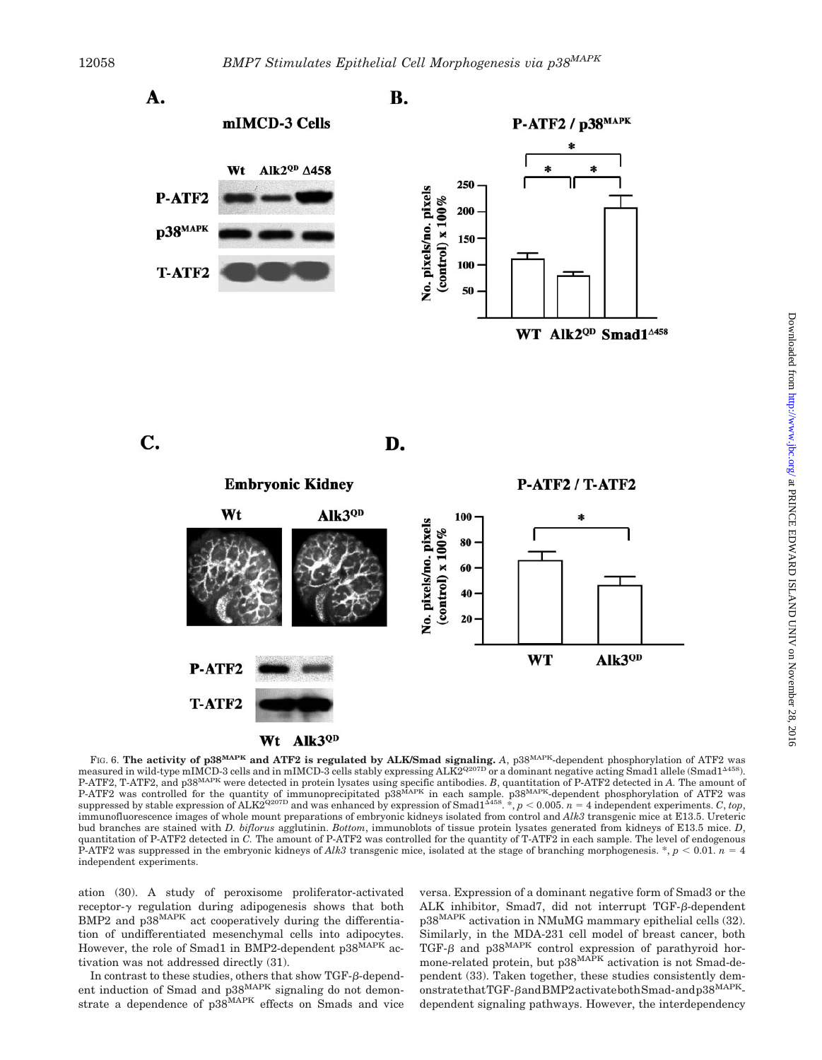



D.



FIG. 6. **The activity of p38MAPK and ATF2 is regulated by ALK/Smad signaling.** *A*, p38MAPK-dependent phosphorylation of ATF2 was measured in wild-type mIMCD-3 cells and in mIMCD-3 cells stably expressing ALK2<sup>Q207D</sup> or a dominant negative acting Smad1 allele (Smad1<sup>4458)</sup>. P-ATF2, T-ATF2, and p38MAPK were detected in protein lysates using specific antibodies. *B*, quantitation of P-ATF2 detected in *A.* The amount of P-ATF2 was controlled for the quantity of immunoprecipitated p38<sup>MAPK</sup> in each sample. p38<sup>MAPK</sup>-dependent phosphorylation of ATF2 was suppressed by stable expression of  $ALK2^{Q207D}$  and was enhanced by expression of  $Small^{\Delta 458}$ .  $*$ ,  $p < 0.005$ .  $n = 4$  independent experiments. *C*, *top*, immunofluorescence images of whole mount preparations of embryonic kidneys isolated from control and *Alk3* transgenic mice at E13.5. Ureteric bud branches are stained with *D. biflorus* agglutinin. *Bottom*, immunoblots of tissue protein lysates generated from kidneys of E13.5 mice. *D*, quantitation of P-ATF2 detected in *C.* The amount of P-ATF2 was controlled for the quantity of T-ATF2 in each sample. The level of endogenous P-ATF2 was suppressed in the embryonic kidneys of *Alk3* transgenic mice, isolated at the stage of branching morphogenesis.  $\ast$ ,  $p < 0.01$ .  $n = 4$ independent experiments.

ation (30). A study of peroxisome proliferator-activated receptor- $\gamma$  regulation during adipogenesis shows that both BMP2 and p38MAPK act cooperatively during the differentiation of undifferentiated mesenchymal cells into adipocytes. However, the role of Smad1 in BMP2-dependent p38<sup>MAPK</sup> activation was not addressed directly (31).

In contrast to these studies, others that show  $TGF- $\beta$ -depend$ ent induction of Smad and p38<sup>MAPK</sup> signaling do not demonstrate a dependence of p38<sup>MAPK</sup> effects on Smads and vice versa. Expression of a dominant negative form of Smad3 or the ALK inhibitor, Smad7, did not interrupt TGF-6-dependent p38MAPK activation in NMuMG mammary epithelial cells (32). Similarly, in the MDA-231 cell model of breast cancer, both TGF- $\beta$  and p38<sup>MAPK</sup> control expression of parathyroid hormone-related protein, but  $p38^{MAPK}$  activation is not Smad-dependent (33). Taken together, these studies consistently demonstratethatTGF-BandBMP2activatebothSmad-andp38<sup>MAPK</sup>dependent signaling pathways. However, the interdependency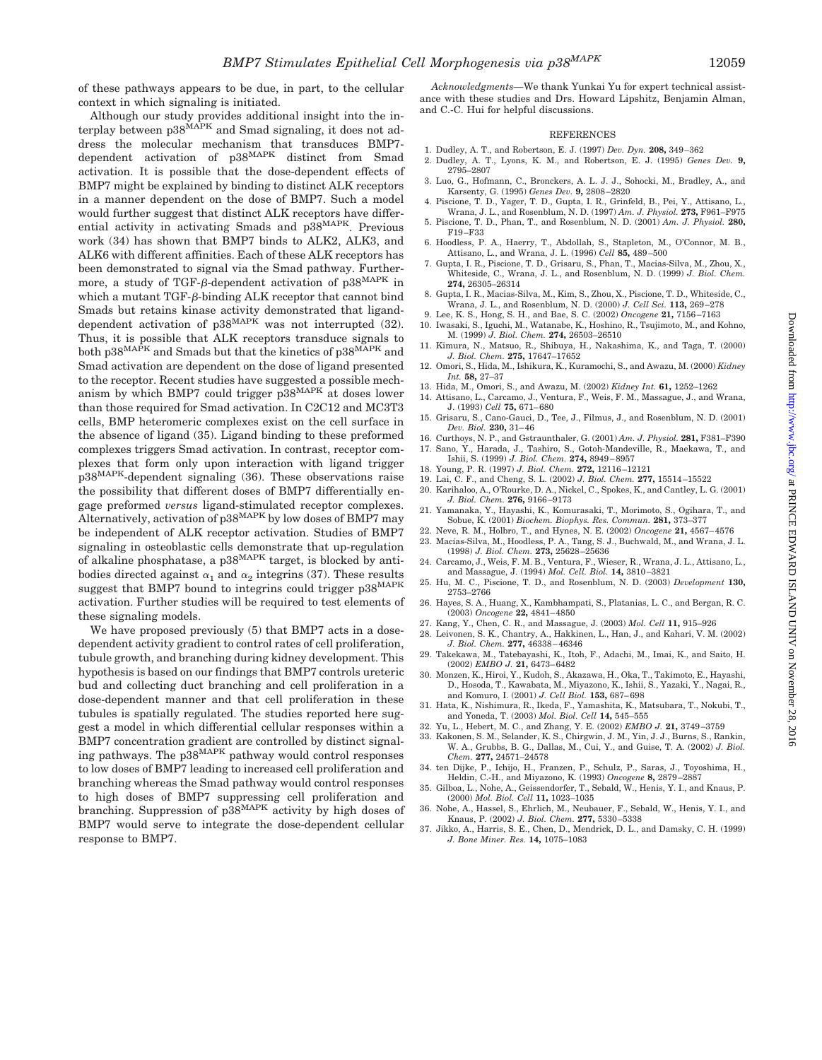of these pathways appears to be due, in part, to the cellular context in which signaling is initiated.

Although our study provides additional insight into the interplay between p38<sup>MAPK</sup> and Smad signaling, it does not address the molecular mechanism that transduces BMP7 dependent activation of p38MAPK distinct from Smad activation. It is possible that the dose-dependent effects of BMP7 might be explained by binding to distinct ALK receptors in a manner dependent on the dose of BMP7. Such a model would further suggest that distinct ALK receptors have differential activity in activating Smads and p38<sup>MAPK</sup>. Previous work (34) has shown that BMP7 binds to ALK2, ALK3, and ALK6 with different affinities. Each of these ALK receptors has been demonstrated to signal via the Smad pathway. Furthermore, a study of TGF- $\beta$ -dependent activation of p38<sup>MAPK</sup> in which a mutant TGF- $\beta$ -binding ALK receptor that cannot bind Smads but retains kinase activity demonstrated that liganddependent activation of  $p38^{MAPK}$  was not interrupted (32). Thus, it is possible that ALK receptors transduce signals to both p38<sup>MAPK</sup> and Smads but that the kinetics of p38<sup>MAPK</sup> and Smad activation are dependent on the dose of ligand presented to the receptor. Recent studies have suggested a possible mechanism by which BMP7 could trigger  $\overset{\sim}{p3}8^{MAPK}$  at doses lower than those required for Smad activation. In C2C12 and MC3T3 cells, BMP heteromeric complexes exist on the cell surface in the absence of ligand (35). Ligand binding to these preformed complexes triggers Smad activation. In contrast, receptor complexes that form only upon interaction with ligand trigger p38MAPK-dependent signaling (36). These observations raise the possibility that different doses of BMP7 differentially engage preformed *versus* ligand-stimulated receptor complexes. Alternatively, activation of  $p38^{MAPK}$  by low doses of BMP7 may be independent of ALK receptor activation. Studies of BMP7 signaling in osteoblastic cells demonstrate that up-regulation of alkaline phosphatase, a  $p38^{MAPK}$  target, is blocked by antibodies directed against  $\alpha_1$  and  $\alpha_2$  integrins (37). These results suggest that BMP7 bound to integrins could trigger  $p38^{MAPK}$ activation. Further studies will be required to test elements of these signaling models.

We have proposed previously (5) that BMP7 acts in a dosedependent activity gradient to control rates of cell proliferation, tubule growth, and branching during kidney development. This hypothesis is based on our findings that BMP7 controls ureteric bud and collecting duct branching and cell proliferation in a dose-dependent manner and that cell proliferation in these tubules is spatially regulated. The studies reported here suggest a model in which differential cellular responses within a BMP7 concentration gradient are controlled by distinct signaling pathways. The p38MAPK pathway would control responses to low doses of BMP7 leading to increased cell proliferation and branching whereas the Smad pathway would control responses to high doses of BMP7 suppressing cell proliferation and branching. Suppression of p38<sup>MAPK</sup> activity by high doses of BMP7 would serve to integrate the dose-dependent cellular response to BMP7.

*Acknowledgments—*We thank Yunkai Yu for expert technical assistance with these studies and Drs. Howard Lipshitz, Benjamin Alman, and C.-C. Hui for helpful discussions.

#### **REFERENCES**

- 1. Dudley, A. T., and Robertson, E. J. (1997) *Dev. Dyn.* **208,** 349–362
- 2. Dudley, A. T., Lyons, K. M., and Robertson, E. J. (1995) *Genes Dev.* **9,** 2795–2807
- 3. Luo, G., Hofmann, C., Bronckers, A. L. J. J., Sohocki, M., Bradley, A., and Karsenty, G. (1995) *Genes Dev.* **9,** 2808–2820
- 4. Piscione, T. D., Yager, T. D., Gupta, I. R., Grinfeld, B., Pei, Y., Attisano, L., Wrana, J. L., and Rosenblum, N. D. (1997) *Am. J. Physiol.* **273,** F961–F975
- 5. Piscione, T. D., Phan, T., and Rosenblum, N. D. (2001) *Am. J. Physiol.* **280,** F19–F33
- 6. Hoodless, P. A., Haerry, T., Abdollah, S., Stapleton, M., O'Connor, M. B., Attisano, L., and Wrana, J. L. (1996) *Cell* **85,** 489–500
- 7. Gupta, I. R., Piscione, T. D., Grisaru, S., Phan, T., Macias-Silva, M., Zhou, X., Whiteside, C., Wrana, J. L., and Rosenblum, N. D. (1999) *J. Biol. Chem.* **274,** 26305–26314
- 8. Gupta, I. R., Macias-Silva, M., Kim, S., Zhou, X., Piscione, T. D., Whiteside, C., Wrana, J. L., and Rosenblum, N. D. (2000) *J. Cell Sci.* **113,** 269–278
- 9. Lee, K. S., Hong, S. H., and Bae, S. C. (2002) *Oncogene* **21,** 7156–7163 10. Iwasaki, S., Iguchi, M., Watanabe, K., Hoshino, R., Tsujimoto, M., and Kohno,
- M. (1999) *J. Biol. Chem.* **274,** 26503–26510
- 11. Kimura, N., Matsuo, R., Shibuya, H., Nakashima, K., and Taga, T. (2000) *J. Biol. Chem.* **275,** 17647–17652
- 12. Omori, S., Hida, M., Ishikura, K., Kuramochi, S., and Awazu, M. (2000) *Kidney Int.* **58,** 27–37
- 13. Hida, M., Omori, S., and Awazu, M. (2002) *Kidney Int.* **61,** 1252–1262
- 14. Attisano, L., Carcamo, J., Ventura, F., Weis, F. M., Massague, J., and Wrana, J. (1993) *Cell* **75,** 671–680
- 15. Grisaru, S., Cano-Gauci, D., Tee, J., Filmus, J., and Rosenblum, N. D. (2001) *Dev. Biol.* **230,** 31–46
- 16. Curthoys, N. P., and Gstraunthaler, G. (2001) *Am. J. Physiol.* **281,** F381–F390 17. Sano, Y., Harada, J., Tashiro, S., Gotoh-Mandeville, R., Maekawa, T., and Ishii, S. (1999) *J. Biol. Chem.* **274,** 8949–8957
- 18. Young, P. R. (1997) *J. Biol. Chem.* **272,** 12116–12121
- 19. Lai, C. F., and Cheng, S. L. (2002) *J. Biol. Chem.* **277,** 15514–15522
- 20. Karihaloo, A., O'Rourke, D. A., Nickel, C., Spokes, K., and Cantley, L. G. (2001) *J. Biol. Chem.* **276,** 9166–9173
- 21. Yamanaka, Y., Hayashi, K., Komurasaki, T., Morimoto, S., Ogihara, T., and Sobue, K. (2001) *Biochem. Biophys. Res. Commun.* **281,** 373–377
- 22. Neve, R. M., Holbro, T., and Hynes, N. E. (2002) *Oncogene* **21,** 4567–4576
- 23. Macías-Silva, M., Hoodless, P. A., Tang, S. J., Buchwald, M., and Wrana, J. L. (1998) *J. Biol. Chem.* **273,** 25628–25636
- 24. Carcamo, J., Weis, F. M. B., Ventura, F., Wieser, R., Wrana, J. L., Attisano, L., and Massague, J. (1994) *Mol. Cell. Biol.* **14,** 3810–3821
- 25. Hu, M. C., Piscione, T. D., and Rosenblum, N. D. (2003) *Development* **130,** 2753–2766
- 26. Hayes, S. A., Huang, X., Kambhampati, S., Platanias, L. C., and Bergan, R. C. (2003) *Oncogene* **22,** 4841–4850
- 27. Kang, Y., Chen, C. R., and Massague, J. (2003) *Mol. Cell* **11,** 915–926
- 28. Leivonen, S. K., Chantry, A., Hakkinen, L., Han, J., and Kahari, V. M. (2002) *J. Biol. Chem.* **277,** 46338–46346
- 29. Takekawa, M., Tatebayashi, K., Itoh, F., Adachi, M., Imai, K., and Saito, H. (2002) *EMBO J.* **21,** 6473–6482
- 30. Monzen, K., Hiroi, Y., Kudoh, S., Akazawa, H., Oka, T., Takimoto, E., Hayashi, D., Hosoda, T., Kawabata, M., Miyazono, K., Ishii, S., Yazaki, Y., Nagai, R., and Komuro, I. (2001) *J. Cell Biol.* **153,** 687–698
- 31. Hata, K., Nishimura, R., Ikeda, F., Yamashita, K., Matsubara, T., Nokubi, T., and Yoneda, T. (2003) *Mol. Biol. Cell* **14,** 545–555
- 32. Yu, L., Hebert, M. C., and Zhang, Y. E. (2002) *EMBO J.* **21,** 3749–3759
- 33. Kakonen, S. M., Selander, K. S., Chirgwin, J. M., Yin, J. J., Burns, S., Rankin, W. A., Grubbs, B. G., Dallas, M., Cui, Y., and Guise, T. A. (2002) *J. Biol. Chem.* **277,** 24571–24578
- 34. ten Dijke, P., Ichijo, H., Franzen, P., Schulz, P., Saras, J., Toyoshima, H., Heldin, C.-H., and Miyazono, K. (1993) *Oncogene* **8,** 2879–2887
- 35. Gilboa, L., Nohe, A., Geissendorfer, T., Sebald, W., Henis, Y. I., and Knaus, P. (2000) *Mol. Biol. Cell* **11,** 1023–1035
- 36. Nohe, A., Hassel, S., Ehrlich, M., Neubauer, F., Sebald, W., Henis, Y. I., and Knaus, P. (2002) *J. Biol. Chem.* **277,** 5330–5338
- 37. Jikko, A., Harris, S. E., Chen, D., Mendrick, D. L., and Damsky, C. H. (1999) *J. Bone Miner. Res.* **14,** 1075–1083